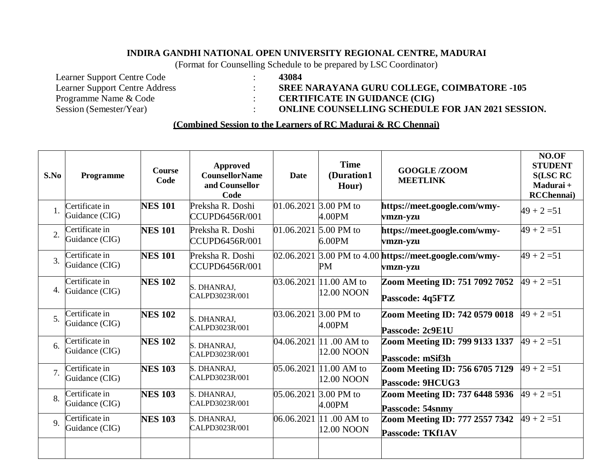## **INDIRA GANDHI NATIONAL OPEN UNIVERSITY REGIONAL CENTRE, MADURAI**

(Format for Counselling Schedule to be prepared by LSC Coordinator)

Learner Support Centre Code : **43084**

Learner Support Centre Address : **SREE NARAYANA GURU COLLEGE, COIMBATORE -105**

Programme Name & Code : **CERTIFICATE IN GUIDANCE** (CIG)

Session (Semester/Year) : **ONLINE COUNSELLING SCHEDULE FOR JAN 2021 SESSION.**

## **(Combined Session to the Learners of RC Madurai & RC Chennai)**

| S.No             | Programme                        | <b>Course</b><br>Code | <b>Approved</b><br><b>CounsellorName</b><br>and Counsellor<br>Code | <b>Date</b> | <b>Time</b><br>(Duration1<br>Hour)    | <b>GOOGLE/ZOOM</b><br><b>MEETLINK</b>                               | NO.OF<br><b>STUDENT</b><br><b>S(LSC RC</b><br>Madurai +<br><b>RCChennai</b> ) |
|------------------|----------------------------------|-----------------------|--------------------------------------------------------------------|-------------|---------------------------------------|---------------------------------------------------------------------|-------------------------------------------------------------------------------|
| 1.               | Certificate in<br>Guidance (CIG) | <b>NES 101</b>        | Preksha R. Doshi<br>CCUPD6456R/001                                 |             | 01.06.2021 3.00 PM to<br>4.00PM       | https://meet.google.com/wmy-<br>vmzn-yzu                            | $49 + 2 = 51$                                                                 |
| $\overline{2}$   | Certificate in<br>Guidance (CIG) | <b>NES 101</b>        | Preksha R. Doshi<br><b>CCUPD6456R/001</b>                          |             | 01.06.2021 5.00 PM to<br>6.00PM       | https://meet.google.com/wmy-<br>vmzn-yzu                            | $49 + 2 = 51$                                                                 |
| $\overline{3}$ . | Certificate in<br>Guidance (CIG) | <b>NES 101</b>        | Preksha R. Doshi<br><b>CCUPD6456R/001</b>                          |             | PM                                    | 02.06.2021 3.00 PM to 4.00 https://meet.google.com/wmy-<br>vmzn-yzu | $49 + 2 = 51$                                                                 |
| 4.               | Certificate in<br>Guidance (CIG) | <b>NES 102</b>        | S. DHANRAJ,<br>CALPD3023R/001                                      | 03.06.2021  | 11.00 AM to<br>12.00 NOON             | Zoom Meeting ID: 751 7092 7052<br>Passcode: 4q5FTZ                  | $49 + 2 = 51$                                                                 |
| 5.               | Certificate in<br>Guidance (CIG) | <b>NES 102</b>        | S. DHANRAJ,<br>CALPD3023R/001                                      |             | 03.06.2021 3.00 PM to<br>4.00PM       | Zoom Meeting ID: 742 0579 0018<br>Passcode: 2c9E1U                  | $49 + 2 = 51$                                                                 |
| 6.               | Certificate in<br>Guidance (CIG) | <b>NES 102</b>        | S. DHANRAJ,<br>CALPD3023R/001                                      | 04.06.2021  | $11.00$ AM to<br>12.00 NOON           | Zoom Meeting ID: 799 9133 1337<br>Passcode: mSif3h                  | $49 + 2 = 51$                                                                 |
| 7.               | Certificate in<br>Guidance (CIG) | <b>NES 103</b>        | S. DHANRAJ,<br>CALPD3023R/001                                      | 05.06.2021  | 11.00 AM to<br>12.00 NOON             | Zoom Meeting ID: 756 6705 7129<br>Passcode: 9HCUG3                  | $49 + 2 = 51$                                                                 |
| 8.               | Certificate in<br>Guidance (CIG) | <b>NES 103</b>        | S. DHANRAJ,<br>CALPD3023R/001                                      |             | 05.06.2021 3.00 PM to<br>4.00PM       | Zoom Meeting ID: 737 6448 5936<br>Passcode: 54snmy                  | $49 + 2 = 51$                                                                 |
| 9.               | Certificate in<br>Guidance (CIG) | <b>NES 103</b>        | S. DHANRAJ,<br>CALPD3023R/001                                      |             | 06.06.2021 11 .00 AM to<br>12.00 NOON | Zoom Meeting ID: 777 2557 7342<br><b>Passcode: TKf1AV</b>           | $49 + 2 = 51$                                                                 |
|                  |                                  |                       |                                                                    |             |                                       |                                                                     |                                                                               |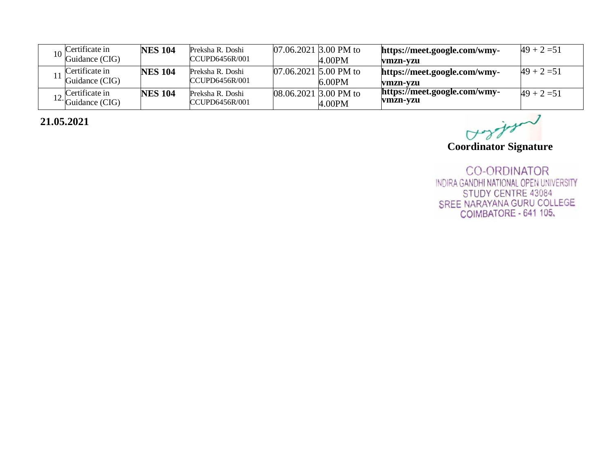| Certificate in<br>Guidance (CIG)            | <b>NES 104</b> | Preksha R. Doshi<br>CCUPD6456R/001 | $07.06.2021$ 3.00 PM to<br>4.00PM  | https://meet.google.com/wmy-<br>vmzn-vzu | $49 + 2 = 51$ |
|---------------------------------------------|----------------|------------------------------------|------------------------------------|------------------------------------------|---------------|
| Certificate in<br>Guidance (CIG)            | <b>NES 104</b> | Preksha R. Doshi<br>CCUPD6456R/001 | 07.06.2021 5.00 PM to<br>$6.00$ PM | https://meet.google.com/wmy-<br>vmzn-vzu | $49 + 2 = 51$ |
| Certificate in<br>$12 \cdot$ Guidance (CIG) | <b>NES 104</b> | Preksha R. Doshi<br>CCUPD6456R/001 | $08.06.2021$ 3.00 PM to<br>4.00PM  | https://meet.google.com/wmy-<br>vmzn-yzu | $49 + 2 = 51$ |

 **21.05.2021**

Coordinator Signature

**CO-ORDINATOR** INDIRA GANDHI NATIONAL OPEN UNIVERSITY STUDY CENTRE 43084 SREE NARAYANA GURU COLLEGE<br>COIMBATORE - 641 105,